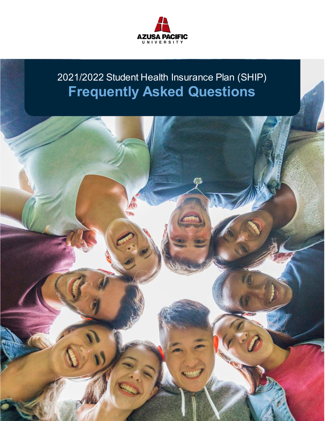

# 2021/2022 Student Health Insurance Plan (SHIP) **Frequently Asked Questions**

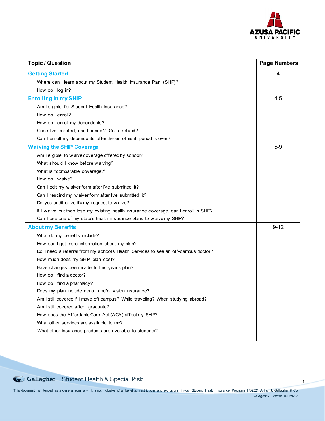

1

| <b>Topic / Question</b>                                                                | <b>Page Numbers</b> |
|----------------------------------------------------------------------------------------|---------------------|
| <b>Getting Started</b>                                                                 | 4                   |
| Where can I learn about my Student Health Insurance Plan (SHIP)?                       |                     |
| How do I log in?                                                                       |                     |
| <b>Enrolling in my SHIP</b>                                                            | $4 - 5$             |
| Am I eligible for Student Health Insurance?                                            |                     |
| How do I enroll?                                                                       |                     |
| How do I enroll my dependents?                                                         |                     |
| Once I've enrolled, can I cancel? Get a refund?                                        |                     |
| Can I enroll my dependents after the enrollment period is over?                        |                     |
| <b>Waiving the SHIP Coverage</b>                                                       | $5-9$               |
| Am I eligible to waive coverage offered by school?                                     |                     |
| What should I know before waiving?                                                     |                     |
| What is "comparable coverage?"                                                         |                     |
| How do I waive?                                                                        |                     |
| Can I edit my waiver form after I've submitted it?                                     |                     |
| Can I rescind my waiver form after I've submitted it?                                  |                     |
| Do you audit or verify my request to waive?                                            |                     |
| If I waive, but then lose my existing health insurance coverage, can I enroll in SHIP? |                     |
| Can I use one of my state's health insurance plans to waive my SHIP?                   |                     |
| <b>About my Benefits</b>                                                               | $9 - 12$            |
| What do my benefits include?                                                           |                     |
| How can I get more information about my plan?                                          |                     |
| Do I need a referral from my school's Health Services to see an off-campus doctor?     |                     |
| How much does my SHIP plan cost?                                                       |                     |
| Have changes been made to this year's plan?                                            |                     |
| How do I find a doctor?                                                                |                     |
| How do I find a pharmacy?                                                              |                     |
| Does my plan include dental and/or vision insurance?                                   |                     |
| Am I still covered if I move off campus? While traveling? When studying abroad?        |                     |
| Am I still covered after I graduate?                                                   |                     |
| How does the Affordable Care Act (ACA) affect my SHIP?                                 |                     |
| What other services are available to me?                                               |                     |
| What other insurance products are available to students?                               |                     |
|                                                                                        |                     |

Gallagher | Student Health & Special Risk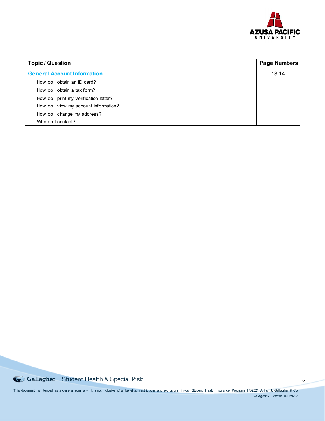![](_page_2_Picture_0.jpeg)

| <b>Topic / Question</b>                | <b>Page Numbers</b> |
|----------------------------------------|---------------------|
| <b>General Account Information</b>     | $13 - 14$           |
| How do I obtain an ID card?            |                     |
| How do I obtain a tax form?            |                     |
| How do I print my verification letter? |                     |
| How do I view my account information?  |                     |
| How do I change my address?            |                     |
| Who do I contact?                      |                     |

G Gallagher | Student Health & Special Risk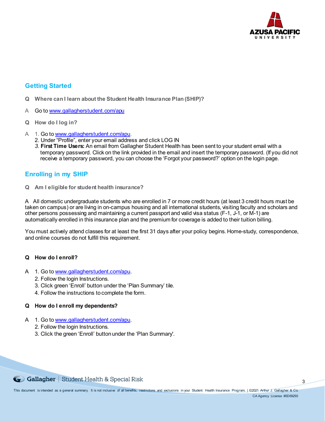![](_page_3_Picture_0.jpeg)

# **Getting Started**

- **Q Where can I learn about the Student Health Insurance Plan (SHIP)?**
- A Go to [www.gallagherstudent.com/apu](http://www.gallagherstudent.com/apu)
- **Q How do I log in?**
- A 1. Go t[o www.gallagherstudent.com/apu](http://www.gallagherstudent.com/apu).
	- 2. Under "Profile", enter your email address and click LOG IN
	- *3.* **First Time Users:** An email from Gallagher Student Health has been sent to your student email with a temporary password. Click on the link provided in the email and insert the temporary password. (If you did not receive a temporary password, you can choose the 'Forgot your password?' option on the login page*.*

# **Enrolling in my SHIP**

**Q Am I eligible for student health insurance?**

A All domestic undergraduate students who are enrolled in 7 or more credit hours (at least 3 credit hours must be taken on campus) or are living in on-campus housing and all international students, visiting faculty and scholars and other persons possessing and maintaining a current passport and valid visa status (F-1, J-1, or M-1) are automatically enrolled in this insurance plan and the premium for coverage is added to their tuition billing.

You must actively attend classes for at least the first 31 days after your policy begins. Home-study, correspondence, and online courses do not fulfill this requirement.

# **Q How do I enroll?**

- A 1. Go t[o www.gallagherstudent.com/apu](http://www.gallagherstudent.com/apu).
	- 2. Follow the login Instructions.
	- 3. Click green 'Enroll' button under the 'Plan Summary' tile.
	- 4. Follow the instructions to complete the form.

# **Q How do I enroll my dependents?**

- A 1. Go t[o www.gallagherstudent.com/apu](http://www.gallagherstudent.com/apu).
	- 2. Follow the login Instructions.
	- 3. Click the green 'Enroll' button under the 'Plan Summary'.

![](_page_3_Picture_21.jpeg)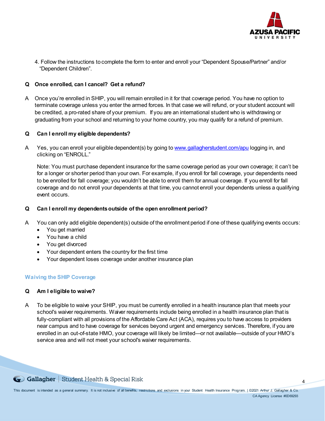![](_page_4_Picture_0.jpeg)

4

4. Follow the instructions to complete the form to enter and enroll your "Dependent Spouse/Partner" and/or "Dependent Children".

# **Q Once enrolled, can I cancel? Get a refund?**

A Once you're enrolled in SHIP, you will remain enrolled in it for that coverage period. You have no option to terminate coverage unless you enter the armed forces. In that case we will refund, or your student account will be credited, a pro-rated share of your premium. If you are an international student who is withdrawing or graduating from your school and returning to your home country, you may qualify for a refund of premium.

# **Q Can I enroll my eligible dependents?**

A Yes, you can enroll your eligible dependent(s) by going t[o www.gallagherstudent.com/apu](http://www.gallagherstudent.com/apu) logging in, and clicking on "ENROLL."

Note: You must purchase dependent insurance for the same coverage period as your own coverage; it can't be for a longer or shorter period than your own. For example, if you enroll for fall coverage, your dependents need to be enrolled for fall coverage; you wouldn't be able to enroll them for annual coverage. If you enroll for fall coverage and do not enroll your dependents at that time, you cannot enroll your dependents unless a qualifying event occurs.

## **Q Can I enroll my dependents outside of the open enrollment period?**

- A You can only add eligible dependent(s) outside of the enrollment period if one of these qualifying events occurs:
	- You get married
	- You have a child
	- You get divorced
	- Your dependent enters the country for the first time
	- Your dependent loses coverage under another insurance plan

## **Waiving the SHIP Coverage**

# **Q Am I eligible to waive?**

A To be eligible to waive your SHIP, you must be currently enrolled in a health insurance plan that meets your school's waiver requirements. Waiver requirements include being enrolled in a health insurance plan that is fully-compliant with all provisions of the Affordable Care Act (ACA), requires you to have access to providers near campus and to have coverage for services beyond urgent and emergency services. Therefore, if you are enrolled in an out-of-state HMO, your coverage will likely be limited—or not available—outside of your HMO's service area and will not meet your school's waiver requirements.

Gollagher Student Health & Special Risk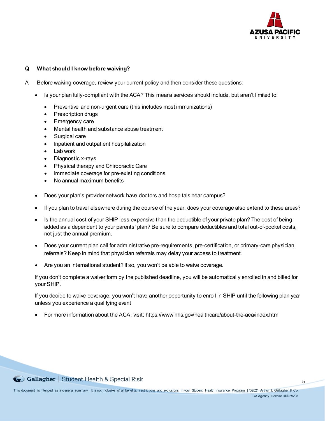![](_page_5_Picture_0.jpeg)

# **Q What should I know before waiving?**

- A Before waiving coverage, review your current policy and then consider these questions:
	- Is your plan fully-compliant with the ACA? This means services should include, but aren't limited to:
		- Preventive and non-urgent care (this includes most immunizations)
		- Prescription drugs
		- Emergency care
		- Mental health and substance abuse treatment
		- Surgical care
		- Inpatient and outpatient hospitalization
		- Lab work
		- Diagnostic x-rays
		- Physical therapy and Chiropractic Care
		- Immediate coverage for pre-existing conditions
		- No annual maximum benefits
	- Does your plan's provider network have doctors and hospitals near campus?
	- If you plan to travel elsewhere during the course of the year, does your coverage also extend to these areas?
	- Is the annual cost of your SHIP less expensive than the deductible of your private plan? The cost of being added as a dependent to your parents' plan? Be sure to compare deductibles and total out-of-pocket costs, not just the annual premium.
	- Does your current plan call for administrative pre-requirements, pre-certification, or primary-care physician referrals? Keep in mind that physician referrals may delay your access to treatment.
	- Are you an international student? If so, you won't be able to waive coverage.

If you don't complete a waiver form by the published deadline, you will be automatically enrolled in and billed for your SHIP.

If you decide to waive coverage, you won't have another opportunity to enroll in SHIP until the following plan year unless you experience a qualifying event.

• For more information about the ACA, visit: https://www.hhs.gov/healthcare/about-the-aca/index.htm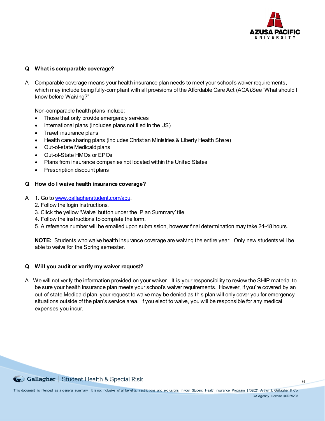![](_page_6_Picture_0.jpeg)

# **Q What is comparable coverage?**

A Comparable coverage means your health insurance plan needs to meet your school's waiver requirements, which may include being fully-compliant with all provisions of the Affordable Care Act (ACA).See "What should I know before Waiving?"

Non-comparable health plans include:

- Those that only provide emergency services
- International plans (includes plans not filed in the US)
- Travel insurance plans
- Health care sharing plans (includes Christian Ministries & Liberty Health Share)
- Out-of-state Medicaid plans
- Out-of-State HMOs or EPOs
- Plans from insurance companies not located within the United States
- Prescription discount plans

## **Q How do I waive health insurance coverage?**

- A 1. Go t[o www.gallagherstudent.com/apu](http://www.gallagherstudent.com/apu).
	- 2. Follow the login Instructions.
	- 3. Click the yellow 'Waive' button under the 'Plan Summary' tile.
	- 4. Follow the instructions to complete the form.
	- 5. A reference number will be emailed upon submission, however final determination may take 24-48 hours.

**NOTE:** Students who waive health insurance coverage are waiving the entire year. Only new students will be able to waive for the Spring semester.

## **Q Will you audit or verify my waiver request?**

A We will not verify the information provided on your waiver. It is your responsibility to review the SHIP material to be sure your health insurance plan meets your school's waiver requirements. However, if you're covered by an out-of-state Medicaid plan, your request to waive may be denied as this plan will only cover you for emergency situations outside of the plan's service area. If you elect to waive, you will be responsible for any medical expenses you incur.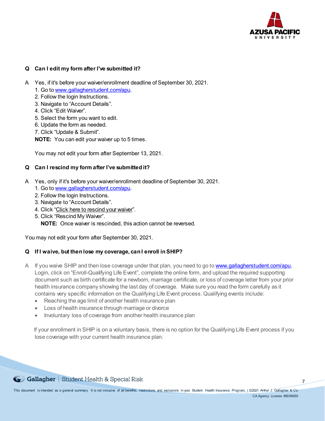![](_page_7_Picture_0.jpeg)

# **Q Can I edit my form after I've submitted it?**

- A Yes, if it's before your waiver/enrollment deadline of September 30, 2021.
	- 1. Go t[o www.gallagherstudent.com/apu](http://www.gallagherstudent.com/apu).
	- 2. Follow the login Instructions.
	- 3. Navigate to "Account Details".
	- 4. Click "Edit Waiver".
	- 5. Select the form you want to edit.
	- 6. Update the form as needed.
	- 7. Click "Update & Submit".
	- **NOTE:** You can edit your waiver up to 5 times.

You may not edit your form after September 13, 2021.

## **Q Can I rescind my form after I've submitted it?**

- A Yes, only if it's before your waiver/enrollment deadline of September 30, 2021.
	- 1. Go t[o www.gallagherstudent.com/apu](http://www.gallagherstudent.com/apu).
	- 2. Follow the login Instructions.
	- 3. Navigate to "Account Details".
	- 4. Click "Click here to rescind your waiver".
	- 5. Click "Rescind My Waiver".

**NOTE:** Once waiver is rescinded, this action cannot be reversed.

You may not edit your form after September 30, 2021.

# **Q If I waive, but then lose my coverage, can I enroll in SHIP?**

- A If you waive SHIP and then lose coverage under that plan, you need to go t[o www.gallagherstudent.com/apu](http://www.gallagherstudent.com/apu). Login, click on "Enroll-Qualifying Life Event", complete the online form, and upload the required supporting document such as birth certificate for a newborn, marriage certificate, or loss of coverage letter from your prior health insurance company showing the last day of coverage. Make sure you read the form carefully as it contains very specific information on the Qualifying Life Event process. Qualifying events include:
	- Reaching the age limit of another health insurance plan
	- Loss of health insurance through marriage or divorce
	- Involuntary loss of coverage from another health insurance plan

 If your enrollment in SHIP is on a voluntary basis, there is no option for the Qualifying Life Event process if you lose coverage with your current health insurance plan.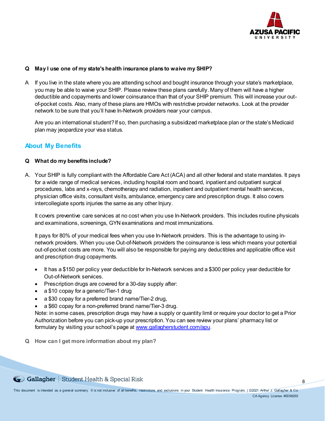![](_page_8_Picture_0.jpeg)

# **Q May I use one of my state's health insurance plans to waive my SHIP?**

A If you live in the state where you are attending school and bought insurance through your state's marketplace, you may be able to waive your SHIP. Please review these plans carefully. Many of them will have a higher deductible and copayments and lower coinsurance than that of your SHIP premium. This will increase your outof-pocket costs. Also, many of these plans are HMOs with restrictive provider networks. Look at the provider network to be sure that you'll have In-Network providers near your campus.

Are you an international student? If so, then purchasing a subsidized marketplace plan or the state's Medicaid plan may jeopardize your visa status.

# **About My Benefits**

# **Q What do my benefits include?**

A. Your SHIP is fully compliant with the Affordable Care Act (ACA) and all other federal and state mandates. It pays for a wide range of medical services, including hospital room and board, inpatient and outpatient surgical procedures, labs and x-rays, chemotherapy and radiation, inpatient and outpatient mental health services, physician office visits, consultant visits, ambulance, emergency care and prescription drugs. It also covers intercollegiate sports injuries the same as any other Injury.

It covers preventive care services at no cost when you use In-Network providers. This includes routine physicals and examinations, screenings, GYN examinations and most immunizations.

It pays for 80% of your medical fees when you use In-Network providers. This is the advantage to using innetwork providers. When you use Out-of-Network providers the coinsurance is less which means your potential out-of-pocket costs are more. You will also be responsible for paying any deductibles and applicable office visit and prescription drug copayments.

- It has a \$150 per policy year deductible for In-Network services and a \$300 per policy year deductible for Out-of-Network services.
- Prescription drugs are covered for a 30-day supply after:
- a \$10 copay for a generic/Tier-1 drug
- a \$30 copay for a preferred brand name/Tier-2 drug,
- a \$60 copay for a non-preferred brand name/Tier-3 drug.

Note: in some cases, prescription drugs may have a supply or quantity limit or require your doctor to get a Prior Authorization before you can pick-up your prescription. You can see review your plans' pharmacy list or formulary by visiting your school's page a[t www.gallagherstudent.com/apu](http://www.gallagherstudent.com/apu).

**Q How can I get more information about my plan?**

Gollagher | Student Health & Special Risk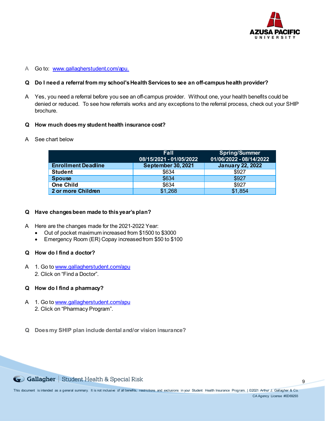![](_page_9_Picture_0.jpeg)

## A Go to: [www.gallagherstudent.com/apu](http://www.gallagherstudent.com/apu).

## **Q Do I need a referral from my school's HealthServices to see an off-campus health provider?**

A Yes, you need a referral before you see an off-campus provider. Without one, your health benefits could be denied or reduced. To see how referrals works and any exceptions to the referral process, check out your SHIP brochure.

## **Q How much does my student health insurance cost?**

A See chart below

|                            | <b>Fall</b><br>08/15/2021 - 01/05/2022 | <b>Spring/Summer</b><br>01/06/2022 - 08/14/2022 |
|----------------------------|----------------------------------------|-------------------------------------------------|
| <b>Enrollment Deadline</b> | September 30, 2021                     | <b>January 22, 2022</b>                         |
| <b>Student</b>             | \$634                                  | \$927                                           |
| <b>Spouse</b>              | \$634                                  | \$927                                           |
| <b>One Child</b>           | \$634                                  | \$927                                           |
| 2 or more Children         | \$1,268                                | \$1,854                                         |

## **Q Have changes been made to this year's plan?**

A Here are the changes made for the 2021-2022 Year:

- Out of pocket maximum increased from \$1500 to \$3000
- Emergency Room (ER) Copay increased from \$50 to \$100

# **Q How do I find a doctor?**

A 1. Go to [www.gallagherstudent.com/apu](http://www.gallagherstudent.com/apu) 2. Click on "Find a Doctor".

# **Q How do I find a pharmacy?**

- A 1. Go t[o www.gallagherstudent.com/apu](http://www.gallagherstudent.com/apu) 2. Click on "Pharmacy Program".
- **Q Does my SHIP plan include dental and/or vision insurance?**

Gollagher | Student Health & Special Risk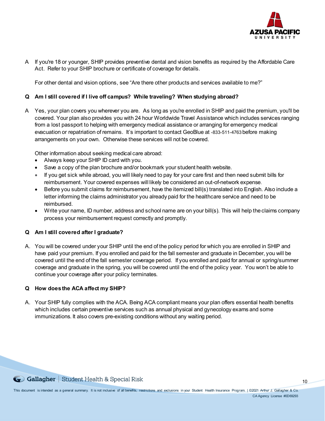![](_page_10_Picture_0.jpeg)

A If you're 18 or younger, SHIP provides preventive dental and vision benefits as required by the Affordable Care Act. Refer to your SHIP brochure or certificate of coverage for details.

For other dental and vision options, see "Are there other products and services available to me?"

# **Q Am I still covered if I live off campus? While traveling? When studying abroad?**

A Yes, your plan covers you wherever you are. As long as you're enrolled in SHIP and paid the premium, you'll be covered. Your plan also provides you with 24 hour Worldwide Travel Assistance which includes services ranging from a lost passport to helping with emergency medical assistance or arranging for emergency medical evacuation or repatriation of remains. It's important to contact GeoBlue at -833-511-4763 before making arrangements on your own. Otherwise these services will not be covered.

Other information about seeking medical care abroad:

- Always keep your SHIP ID card with you.
- Save a copy of the plan brochure and/or bookmark your student health website.
- If you get sick while abroad, you will likely need to pay for your care first and then need submit bills for reimbursement. Your covered expenses will likely be considered an out-of-network expense.
- Before you submit claims for reimbursement, have the itemized bill(s) translated into English. Also include a letter informing the claims administrator you already paid for the healthcare service and need to be reimbursed.
- Write your name, ID number, address and school name are on your bill(s). This will help the claims company process your reimbursement request correctly and promptly.

## **Q Am I still covered after I graduate?**

A. You will be covered under your SHIP until the end of the policy period for which you are enrolled in SHIP and have paid your premium. If you enrolled and paid for the fall semester and graduate in December, you will be covered until the end of the fall semester coverage period. If you enrolled and paid for annual or spring/summer coverage and graduate in the spring, you will be covered until the end of the policy year. You won't be able to continue your coverage after your policy terminates.

## **Q How does the ACA affect my SHIP?**

A. Your SHIP fully complies with the ACA. Being ACA compliant means your plan offers essential health benefits which includes certain preventive services such as annual physical and gynecology exams and some immunizations. It also covers pre-existing conditions without any waiting period.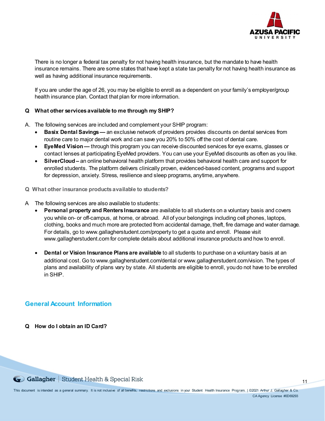![](_page_11_Picture_0.jpeg)

There is no longer a federal tax penalty for not having health insurance, but the mandate to have health insurance remains. There are some states that have kept a state tax penalty for not having health insurance as well as having additional insurance requirements.

If you are under the age of 26, you may be eligible to enroll as a dependent on your family's employer/group health insurance plan. Contact that plan for more information.

# **Q What other servicesavailable to me through my SHIP?**

- A. The following services are included and complement your SHIP program:
	- **Basix Dental Savings —** an exclusive network of providers provides discounts on dental services from routine care to major dental work and can save you 20% to 50% off the cost of dental care.
	- **EyeMed Vision —** through this program you can receive discounted services for eye exams, glasses or contact lenses at participating EyeMed providers. You can use your EyeMed discounts as often as you like.
	- **SilverCloud –** an online behavioral health platform that provides behavioral health care and support for enrolled students. The platform delivers clinically proven, evidenced-based content, programs and support for depression, anxiety. Stress, resilience and sleep programs, anytime, anywhere.
- **Q What other insurance products available to students?**
- A The following services are also available to students:
	- **Personal property and RentersInsurance** are available to all students on a voluntary basis and covers you while on- or off-campus, at home, or abroad. All of your belongings including cell phones, laptops, clothing, books and much more are protected from accidental damage, theft, fire damage and water damage. For details, go to www.gallagherstudent.com/property to get a quote and enroll. Please visit www.gallagherstudent.com for complete details about additional insurance products and how to enroll.
	- **Dental or Vision Insurance Plans are available** to all students to purchase on a voluntary basis at an additional cost. Go to www.gallagherstudent.com/dental or www.gallagherstudent.com/vision. The types of plans and availability of plans vary by state. All students are eligible to enroll, you do not have to be enrolled in SHIP.

# **General Account Information**

**Q How do I obtain an ID Card?**

Gollagher Student Health & Special Risk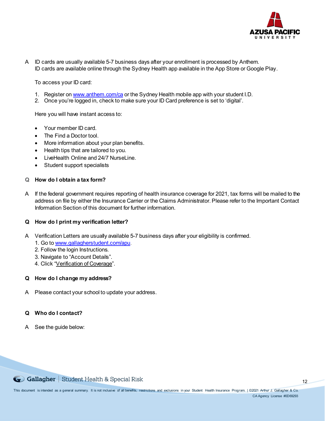![](_page_12_Picture_0.jpeg)

A ID cards are usually available 5-7 business days after your enrollment is processed by Anthem. ID cards are available online through the Sydney Health app available in the App Store or Google Play.

To access your ID card:

- 1. Register o[n www.anthem.com/ca](http://www.anthem.com/ca) or the Sydney Health mobile app with your student I.D.
- 2. Once you're logged in, check to make sure your ID Card preference is set to 'digital'.

Here you will have instant access to:

- Your member ID card.
- The Find a Doctor tool.
- More information about your plan benefits.
- Health tips that are tailored to you.
- LiveHealth Online and 24/7 NurseLine.
- Student support specialists

## **Q How do I obtain a tax form?**

A If the federal government requires reporting of health insurance coverage for 2021, tax forms will be mailed to the address on file by either the Insurance Carrier or the Claims Administrator. Please refer to the Important Contact Information Section of this document for further information.

## **Q How do I print my verification letter?**

- A Verification Letters are usually available 5-7 business days after your eligibility is confirmed.
	- 1. Go t[o www.gallagherstudent.com/apu](http://www.gallagherstudent.com/apu).
	- 2. Follow the login Instructions.
	- 3. Navigate to "Account Details".
	- 4. Click "Verification of Coverage".

## **Q How do I change my address?**

A Please contact your school to update your address.

## **Q Who do I contact?**

A See the guide below:

Gollagher | Student Health & Special Risk